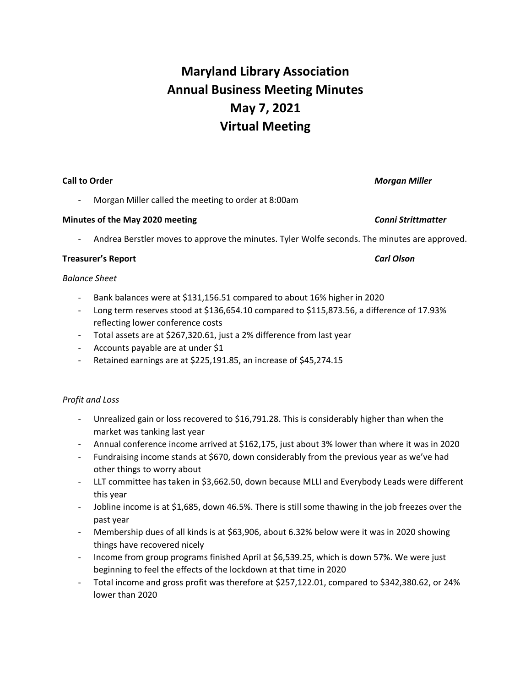# **Maryland Library Association Annual Business Meeting Minutes May 7, 2021 Virtual Meeting**

### **Call to Order** *Morgan Miller*

Morgan Miller called the meeting to order at 8:00am

## **Minutes of the May 2020 meeting** *Conni Strittmatter*

- Andrea Berstler moves to approve the minutes. Tyler Wolfe seconds. The minutes are approved.

### **Treasurer's Report** *Carl Olson*

### *Balance Sheet*

- Bank balances were at \$131,156.51 compared to about 16% higher in 2020
- Long term reserves stood at \$136,654.10 compared to \$115,873.56, a difference of 17.93% reflecting lower conference costs
- Total assets are at \$267,320.61, just a 2% difference from last year
- Accounts payable are at under \$1
- Retained earnings are at \$225,191.85, an increase of \$45,274.15

### *Profit and Loss*

- Unrealized gain or loss recovered to \$16,791.28. This is considerably higher than when the market was tanking last year
- Annual conference income arrived at \$162,175, just about 3% lower than where it was in 2020
- Fundraising income stands at \$670, down considerably from the previous year as we've had other things to worry about
- LLT committee has taken in \$3,662.50, down because MLLI and Everybody Leads were different this year
- Jobline income is at \$1,685, down 46.5%. There is still some thawing in the job freezes over the past year
- Membership dues of all kinds is at \$63,906, about 6.32% below were it was in 2020 showing things have recovered nicely
- Income from group programs finished April at \$6,539.25, which is down 57%. We were just beginning to feel the effects of the lockdown at that time in 2020
- Total income and gross profit was therefore at \$257,122.01, compared to \$342,380.62, or 24% lower than 2020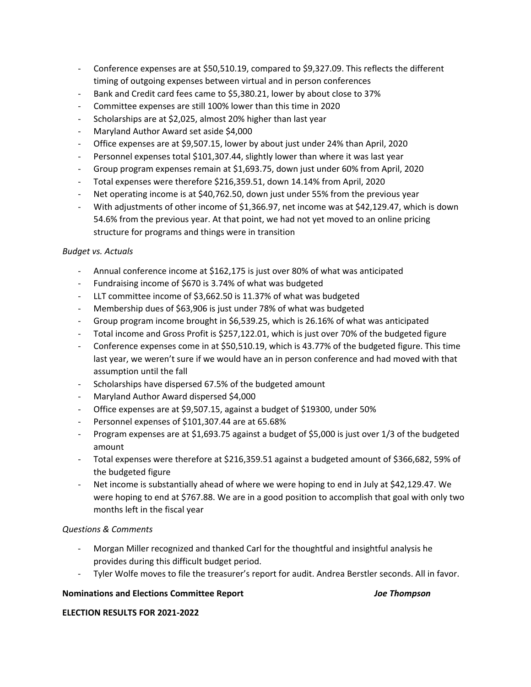- Conference expenses are at \$50,510.19, compared to \$9,327.09. This reflects the different timing of outgoing expenses between virtual and in person conferences
- Bank and Credit card fees came to \$5,380.21, lower by about close to 37%
- Committee expenses are still 100% lower than this time in 2020
- Scholarships are at \$2,025, almost 20% higher than last year
- Maryland Author Award set aside \$4,000
- Office expenses are at \$9,507.15, lower by about just under 24% than April, 2020
- Personnel expenses total \$101,307.44, slightly lower than where it was last year
- Group program expenses remain at \$1,693.75, down just under 60% from April, 2020
- Total expenses were therefore \$216,359.51, down 14.14% from April, 2020
- Net operating income is at \$40,762.50, down just under 55% from the previous year
- With adjustments of other income of \$1,366.97, net income was at \$42,129.47, which is down 54.6% from the previous year. At that point, we had not yet moved to an online pricing structure for programs and things were in transition

# *Budget vs. Actuals*

- Annual conference income at \$162,175 is just over 80% of what was anticipated
- Fundraising income of \$670 is 3.74% of what was budgeted
- LLT committee income of \$3,662.50 is 11.37% of what was budgeted
- Membership dues of \$63,906 is just under 78% of what was budgeted
- Group program income brought in \$6,539.25, which is 26.16% of what was anticipated
- Total income and Gross Profit is \$257,122.01, which is just over 70% of the budgeted figure
- Conference expenses come in at \$50,510.19, which is 43.77% of the budgeted figure. This time last year, we weren't sure if we would have an in person conference and had moved with that assumption until the fall
- Scholarships have dispersed 67.5% of the budgeted amount
- Maryland Author Award dispersed \$4,000
- Office expenses are at \$9,507.15, against a budget of \$19300, under 50%
- Personnel expenses of \$101,307.44 are at 65.68%
- Program expenses are at \$1,693.75 against a budget of \$5,000 is just over 1/3 of the budgeted amount
- Total expenses were therefore at \$216,359.51 against a budgeted amount of \$366,682, 59% of the budgeted figure
- Net income is substantially ahead of where we were hoping to end in July at \$42,129.47. We were hoping to end at \$767.88. We are in a good position to accomplish that goal with only two months left in the fiscal year

# *Questions & Comments*

- Morgan Miller recognized and thanked Carl for the thoughtful and insightful analysis he provides during this difficult budget period.
- Tyler Wolfe moves to file the treasurer's report for audit. Andrea Berstler seconds. All in favor.

# **Nominations and Elections Committee Report** *Joe Thompson*

### **ELECTION RESULTS FOR 2021-2022**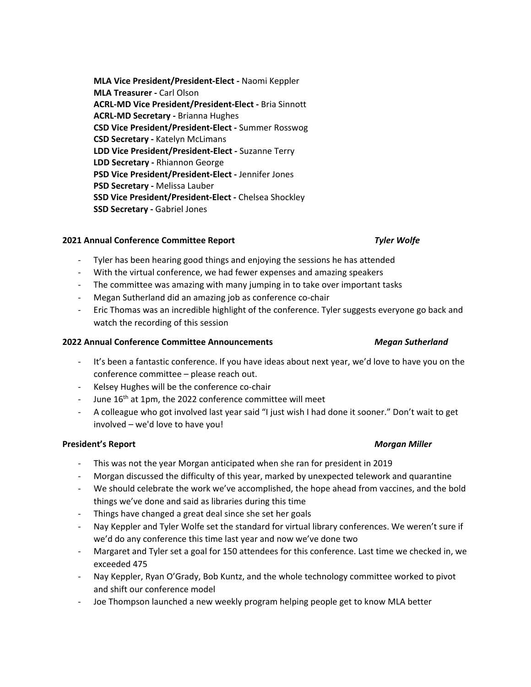**MLA Vice President/President-Elect -** Naomi Keppler **MLA Treasurer -** Carl Olson **ACRL-MD Vice President/President-Elect -** Bria Sinnott **ACRL-MD Secretary -** Brianna Hughes **CSD Vice President/President-Elect -** Summer Rosswog **CSD Secretary -** Katelyn McLimans **LDD Vice President/President-Elect -** Suzanne Terry **LDD Secretary -** Rhiannon George **PSD Vice President/President-Elect -** Jennifer Jones **PSD Secretary -** Melissa Lauber **SSD Vice President/President-Elect -** Chelsea Shockley **SSD Secretary -** Gabriel Jones

### **2021 Annual Conference Committee Report** *Tyler Wolfe*

- Tyler has been hearing good things and enjoying the sessions he has attended
- With the virtual conference, we had fewer expenses and amazing speakers
- The committee was amazing with many jumping in to take over important tasks
- Megan Sutherland did an amazing job as conference co-chair
- Eric Thomas was an incredible highlight of the conference. Tyler suggests everyone go back and watch the recording of this session

### **2022 Annual Conference Committee Announcements** *Megan Sutherland*

- It's been a fantastic conference. If you have ideas about next year, we'd love to have you on the conference committee – please reach out.
- Kelsey Hughes will be the conference co-chair
- June 16<sup>th</sup> at 1pm, the 2022 conference committee will meet
- A colleague who got involved last year said "I just wish I had done it sooner." Don't wait to get involved – we'd love to have you!

### **President's Report** *Morgan Miller*

- This was not the year Morgan anticipated when she ran for president in 2019
- Morgan discussed the difficulty of this year, marked by unexpected telework and quarantine
- We should celebrate the work we've accomplished, the hope ahead from vaccines, and the bold things we've done and said as libraries during this time
- Things have changed a great deal since she set her goals
- Nay Keppler and Tyler Wolfe set the standard for virtual library conferences. We weren't sure if we'd do any conference this time last year and now we've done two
- Margaret and Tyler set a goal for 150 attendees for this conference. Last time we checked in, we exceeded 475
- Nay Keppler, Ryan O'Grady, Bob Kuntz, and the whole technology committee worked to pivot and shift our conference model
- Joe Thompson launched a new weekly program helping people get to know MLA better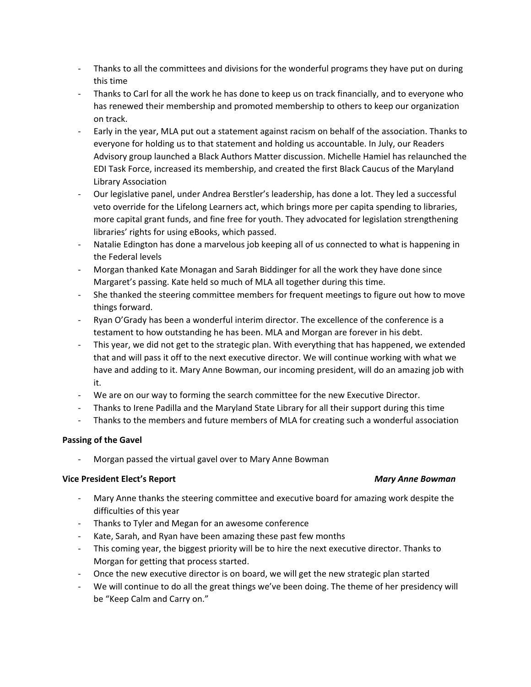- Thanks to all the committees and divisions for the wonderful programs they have put on during this time
- Thanks to Carl for all the work he has done to keep us on track financially, and to everyone who has renewed their membership and promoted membership to others to keep our organization on track.
- Early in the year, MLA put out a statement against racism on behalf of the association. Thanks to everyone for holding us to that statement and holding us accountable. In July, our Readers Advisory group launched a Black Authors Matter discussion. Michelle Hamiel has relaunched the EDI Task Force, increased its membership, and created the first Black Caucus of the Maryland Library Association
- Our legislative panel, under Andrea Berstler's leadership, has done a lot. They led a successful veto override for the Lifelong Learners act, which brings more per capita spending to libraries, more capital grant funds, and fine free for youth. They advocated for legislation strengthening libraries' rights for using eBooks, which passed.
- Natalie Edington has done a marvelous job keeping all of us connected to what is happening in the Federal levels
- Morgan thanked Kate Monagan and Sarah Biddinger for all the work they have done since Margaret's passing. Kate held so much of MLA all together during this time.
- She thanked the steering committee members for frequent meetings to figure out how to move things forward.
- Ryan O'Grady has been a wonderful interim director. The excellence of the conference is a testament to how outstanding he has been. MLA and Morgan are forever in his debt.
- This year, we did not get to the strategic plan. With everything that has happened, we extended that and will pass it off to the next executive director. We will continue working with what we have and adding to it. Mary Anne Bowman, our incoming president, will do an amazing job with it.
- We are on our way to forming the search committee for the new Executive Director.
- Thanks to Irene Padilla and the Maryland State Library for all their support during this time
- Thanks to the members and future members of MLA for creating such a wonderful association

# **Passing of the Gavel**

Morgan passed the virtual gavel over to Mary Anne Bowman

### **Vice President Elect's Report** *Mary Anne Bowman*

- Mary Anne thanks the steering committee and executive board for amazing work despite the difficulties of this year
- Thanks to Tyler and Megan for an awesome conference
- Kate, Sarah, and Ryan have been amazing these past few months
- This coming year, the biggest priority will be to hire the next executive director. Thanks to Morgan for getting that process started.
- Once the new executive director is on board, we will get the new strategic plan started
- We will continue to do all the great things we've been doing. The theme of her presidency will be "Keep Calm and Carry on."